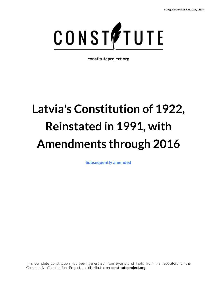

**constituteproject.org**

# **Latvia's Constitution of 1922, Reinstated in 1991, with Amendments through 2016**

**[Subsequently amended](https://www.constituteproject.org/countries/Europe/Latvia?lang=en)**

This complete constitution has been generated from excerpts of texts from the repository of the Comparative Constitutions Project, and distributed on **constituteproject.org**.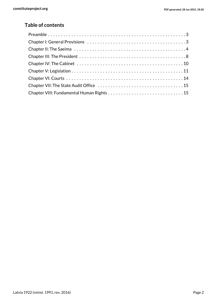# **Table of contents**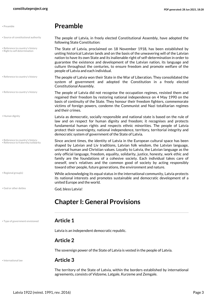<span id="page-2-1"></span><span id="page-2-0"></span>

| PDF generated: 28 Jun 2021, 18:28 |  |  |  |
|-----------------------------------|--|--|--|
|-----------------------------------|--|--|--|

<span id="page-2-11"></span><span id="page-2-10"></span><span id="page-2-9"></span><span id="page-2-8"></span><span id="page-2-7"></span><span id="page-2-6"></span><span id="page-2-5"></span><span id="page-2-4"></span><span id="page-2-3"></span><span id="page-2-2"></span>

| • Preamble                                                               | <b>Preamble</b>                                                                                                                                                                                                                                                                                                                                                                                                                                                                                                                                                                                        |
|--------------------------------------------------------------------------|--------------------------------------------------------------------------------------------------------------------------------------------------------------------------------------------------------------------------------------------------------------------------------------------------------------------------------------------------------------------------------------------------------------------------------------------------------------------------------------------------------------------------------------------------------------------------------------------------------|
| • Source of constitutional authority                                     | The people of Latvia, in freely elected Constitutional Assembly, have adopted the<br>following State Constitution:                                                                                                                                                                                                                                                                                                                                                                                                                                                                                     |
| • Reference to country's history<br>· Right to self determination        | The State of Latvia, proclaimed on 18 November 1918, has been established by<br>uniting historical Latvian lands and on the basis of the unwavering will of the Latvian<br>nation to have its own State and its inalienable right of self-determination in order to<br>guarantee the existence and development of the Latvian nation, its language and<br>culture throughout the centuries, to ensure freedom and promote welfare of the<br>people of Latvia and each individual.                                                                                                                      |
| • Reference to country's history                                         | The people of Latvia won their State in the War of Liberation. They consolidated the<br>system of government and adopted the Constitution in a freely elected<br>Constitutional Assembly.                                                                                                                                                                                                                                                                                                                                                                                                              |
| · Reference to country's history                                         | The people of Latvia did not recognise the occupation regimes, resisted them and<br>regained their freedom by restoring national independence on 4 May 1990 on the<br>basis of continuity of the State. They honour their freedom fighters, commemorate<br>victims of foreign powers, condemn the Communist and Nazi totalitarian regimes<br>and their crimes.                                                                                                                                                                                                                                         |
| · Human dignity                                                          | Latvia as democratic, socially responsible and national state is based on the rule of<br>law and on respect for human dignity and freedom; it recognises and protects<br>fundamental human rights and respects ethnic minorities. The people of Latvia<br>protect their sovereignty, national independence, territory, territorial integrity and<br>democratic system of government of the State of Latvia.                                                                                                                                                                                            |
| • Reference to country's history<br>· Reference to fraternity/solidarity | Since ancient times, the identity of Latvia in the European cultural space has been<br>shaped by Latvian and Liv traditions, Latvian folk wisdom, the Latvian language,<br>universal human and Christian values. Loyalty to Latvia, the Latvian language as the<br>only official language, freedom, equality, solidarity, justice, honesty, work ethic and<br>family are the foundations of a cohesive society. Each individual takes care of<br>oneself, one's relatives and the common good of society by acting responsibly<br>toward other people, future generations, the environment and nature. |
| • Regional group(s)                                                      | While acknowledging its equal status in the international community, Latvia protects<br>its national interests and promotes sustainable and democratic development of a<br>united Europe and the world.                                                                                                                                                                                                                                                                                                                                                                                                |
| . God or other deities                                                   | God, bless Latvia!                                                                                                                                                                                                                                                                                                                                                                                                                                                                                                                                                                                     |
|                                                                          | <b>Chapter I: General Provisions</b>                                                                                                                                                                                                                                                                                                                                                                                                                                                                                                                                                                   |
| • Type of government envisioned                                          | <b>Article 1</b>                                                                                                                                                                                                                                                                                                                                                                                                                                                                                                                                                                                       |
|                                                                          | Latvia is an independent democratic republic.                                                                                                                                                                                                                                                                                                                                                                                                                                                                                                                                                          |
|                                                                          | <b>Article 2</b>                                                                                                                                                                                                                                                                                                                                                                                                                                                                                                                                                                                       |
|                                                                          | The sovereign power of the State of Latvia is vested in the people of Latvia.                                                                                                                                                                                                                                                                                                                                                                                                                                                                                                                          |
| · International law                                                      | <b>Article 3</b>                                                                                                                                                                                                                                                                                                                                                                                                                                                                                                                                                                                       |
|                                                                          | The territory of the State of Latvia, within the borders established by international<br>agreements, consists of Vidzeme, Latgale, Kurzeme and Zemgale.                                                                                                                                                                                                                                                                                                                                                                                                                                                |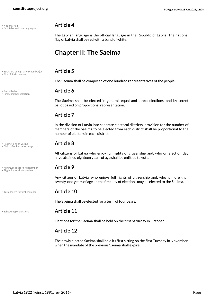<span id="page-3-0"></span>

<span id="page-3-5"></span>• National flag **Article 4** • Official or national languages

<span id="page-3-6"></span>The Latvian language is the official language in the Republic of Latvia. The national flag of Latvia shall be red with a band of white.

# **Chapter II: The Saeima**

# <span id="page-3-10"></span>• Structure of legislative chamber(s) **Article 5** • Size of first chamber

<span id="page-3-11"></span>The Saeima shall be composed of one hundred representatives of the people.

<span id="page-3-3"></span>The Saeima shall be elected in general, equal and direct elections, and by secret ballot based on proportional representation.

# **Article 7**

In the division of Latvia into separate electoral districts, provision for the number of members of the Saeima to be elected from each district shall be proportional to the number of electors in each district.

<span id="page-3-1"></span>All citizens of Latvia who enjoy full rights of citizenship and, who on election day have attained eighteen years of age shall be entitled to vote.

<span id="page-3-4"></span><span id="page-3-2"></span>Any citizen of Latvia, who enjoys full rights of citizenship and, who is more than twenty-one years of age on the first day of elections may be elected to the Saeima.

<span id="page-3-12"></span>The Saeima shall be elected for a term of four years.

### • Scheduling of elections **Article 11**

Elections for the Saeima shall be held on the first Saturday in October.

# **Article 12**

The newly elected Saeima shall hold its first sitting on the first Tuesday in November, when the mandate of the previous Saeima shall expire.

<span id="page-3-9"></span>• Secret ballot **Article 6** • First chamber selection

<span id="page-3-7"></span>• Restrictions on voting **Article 8** • Claim of universal suffrage

• Minimum age for first chamber **Article 9** • Eligibility for first chamber

• Term length for first chamber **Article 10**

<span id="page-3-8"></span>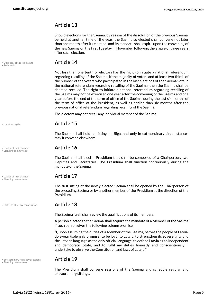# **Article 13**

Should elections for the Saeima, by reason of the dissolution of the previous Saeima, be held at another time of the year, the Saeima so elected shall convene not later than one month after its election, and its mandate shall expire upon the convening of the new Saeima on the first Tuesday in November following the elapse of three years after such election.

<span id="page-4-5"></span>• Dismissal of the legislature **Article 14** • Referenda

<span id="page-4-0"></span>Not less than one tenth of electors has the right to initiate a national referendum regarding recalling of the Saeima. If the majority of voters and at least two thirds of the number of the voters who participated in the last elections of the Saeima vote in the national referendum regarding recalling of the Saeima, then the Saeima shall be deemed recalled. The right to initiate a national referendum regarding recalling of the Saeima may not be exercised one year after the convening of the Saeima and one year before the end of the term of office of the Saeima, during the last six months of the term of office of the President, as well as earlier than six months after the previous national referendum regarding recalling of the Saeima.

The electors may not recall any individual member of the Saeima.

# <span id="page-4-3"></span>• National capital **Article 15**

The Saeima shall hold its sittings in Riga, and only in extraordinary circumstances may it convene elsewhere.

# • Leader of first chamber **Article 16** • Standing committees

The Saeima shall elect a Presidium that shall be composed of a Chairperson, two Deputies and Secretaries. The Presidium shall function continuously during the mandate of the Saeima.

<span id="page-4-2"></span>The first sitting of the newly elected Saeima shall be opened by the Chairperson of the preceding Saeima or by another member of the Presidium at the direction of the Presidium.

### • Oaths to abide by constitution **Article 18**

<span id="page-4-4"></span>The Saeima itself shall review the qualifications of its members.

A person elected to the Saeima shall acquire the mandate of a Member of the Saeima if such person gives the following solemn promise:

"I, upon assuming the duties of a Member of the Saeima, before the people of Latvia, do swear (solemnly promise) to be loyal to Latvia, to strengthen its sovereignty and the Latvian language as the only official language, to defend Latvia as an independent and democratic State, and to fulfil my duties honestly and conscientiously. I undertake to observe the Constitution and laws of Latvia."

<span id="page-4-6"></span><span id="page-4-1"></span>The Presidium shall convene sessions of the Saeima and schedule regular and extraordinary sittings.

• Leader of first chamber **Article 17** • Standing committees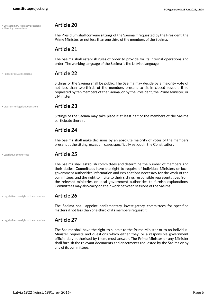<span id="page-5-5"></span>• Extraordinary legislative sessions **Article 20** • Standing committees

<span id="page-5-0"></span>

The Presidium shall convene sittings of the Saeima if requested by the President, the Prime Minister, or not less than one third of the members of the Saeima.

# **Article 21**

The Saeima shall establish rules of order to provide for its internal operations and order. The working language of the Saeima is the Latvian language.

• Public or private sessions **Article 22**

<span id="page-5-3"></span>Sittings of the Saeima shall be public. The Saeima may decide by a majority vote of not less than two-thirds of the members present to sit in closed session, if so requested by ten members of the Saeima, or by the President, the Prime Minister, or a Minister.

• Quorum for legislative sessions **Article 23**

<span id="page-5-4"></span>Sittings of the Saeima may take place if at least half of the members of the Saeima participate therein.

# **Article 24**

The Saeima shall make decisions by an absolute majority of votes of the members present at the sitting, except in cases specifically set out in the Constitution.

<span id="page-5-1"></span>

### • Legislative committees **Article 25**

The Saeima shall establish committees and determine the number of members and their duties. Committees have the right to require of individual Ministers or local government authorities information and explanations necessary for the work of the committees, and the right to invite to their sittings responsible representatives from the relevant ministries or local government authorities to furnish explanations. Committees may also carry on their work between sessions of the Saeima.

• Legislative oversight of the executive **Article 26**

The Saeima shall appoint parliamentary investigatory committees for specified matters if not less than one-third of its members request it.

### • Legislative oversight of the executive **Article 27**

<span id="page-5-2"></span>The Saeima shall have the right to submit to the Prime Minister or to an individual Minister requests and questions which either they, or a responsible government official duly authorised by them, must answer. The Prime Minister or any Minister shall furnish the relevant documents and enactments requested by the Saeima or by any of its committees.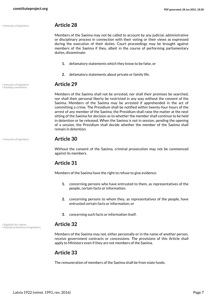# • Immunity of legislators **Article 28**

Members of the Saeima may not be called to account by any judicial, administrative or disciplinary process in connection with their voting or their views as expressed during the execution of their duties. Court proceedings may be brought against members of the Saeima if they, albeit in the course of performing parliamentary duties, disseminate:

- **1.** defamatory statements which they know to be false, or
- **2.** defamatory statements about private or family life.

# <span id="page-6-3"></span>• Immunity of legislators **Article 29** • Standing committees

Members of the Saeima shall not be arrested, nor shall their premises be searched, nor shall their personal liberty be restricted in any way without the consent of the Saeima. Members of the Saeima may be arrested if apprehended in the act of committing a crime. The Presidium shall be notified within twenty-four hours of the arrest of any member of the Saeima; the Presidium shall raise the matter at the next sitting of the Saeima for decision as to whether the member shall continue to be held in detention or be released. When the Saeima is not in session, pending the opening of a session, the Presidium shall decide whether the member of the Saeima shall remain in detention.

# • Immunity of legislators **Article 30**

Without the consent of the Saeima, criminal prosecution may not be commenced against its members.

# **Article 31**

Members of the Saeima have the right to refuse to give evidence:

- **1.** concerning persons who have entrusted to them, as representatives of the people, certain facts or information;
- **2.** concerning persons to whom they, as representatives of the people, have entrusted certain facts or information; or
- **3.** concerning such facts or information itself.

# <span id="page-6-0"></span>• Eligibility for cabinet **Article 32** • Outside professions of legislators

<span id="page-6-2"></span>Members of the Saeima may not, either personally or in the name of another person, receive government contracts or concessions. The provisions of this Article shall apply to Ministers even if they are not members of the Saeima.

# **Article 33**

The remuneration of members of the Saeima shall be from state funds.

<span id="page-6-1"></span>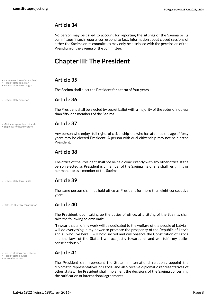# **Article 34**

No person may be called to account for reporting the sittings of the Saeima or its committees if such reports correspond to fact. Information about closed sessions of either the Saeima or its committees may only be disclosed with the permission of the Presidium of the Saeima or the committee.

# <span id="page-7-0"></span>**Chapter III: The President**

<span id="page-7-9"></span><span id="page-7-5"></span>The Saeima shall elect the President for a term of four years.

# • Head of state selection **Article 36**

<span id="page-7-4"></span>The President shall be elected by secret ballot with a majority of the votes of not less than fifty-one members of the Saeima.

<span id="page-7-8"></span><span id="page-7-1"></span>Any person who enjoys full rights of citizenship and who has attained the age of forty years may be elected President. A person with dual citizenship may not be elected President.

# **Article 38**

The office of the President shall not be held concurrently with any other office. If the person elected as President is a member of the Saeima, he or she shall resign his or her mandate as a member of the Saeima.

# • Head of state term limits **Article 39**

<span id="page-7-6"></span>The same person shall not hold office as President for more than eight consecutive years.

### • Oaths to abide by constitution **Article 40**

<span id="page-7-10"></span>The President, upon taking up the duties of office, at a sitting of the Saeima, shall take the following solemn oath:

"I swear that all of my work will be dedicated to the welfare of the people of Latvia. I will do everything in my power to promote the prosperity of the Republic of Latvia and all who live here. I will hold sacred and will observe the Constitution of Latvia and the laws of the State. I will act justly towards all and will fulfil my duties conscientiously."

<span id="page-7-2"></span>The President shall represent the State in international relations, appoint the diplomatic representatives of Latvia, and also receive diplomatic representatives of other states. The President shall implement the decisions of the Saeima concerning the ratification of international agreements.

• Name/structure of executive(s) **Article 35** • Head of state selection

• Head of state term length

• Minimum age of head of state **Article 37** • Eligibility for head of state

# • Foreign affairs representative **Article 41** • Head of state powers

<span id="page-7-7"></span><span id="page-7-3"></span>• International law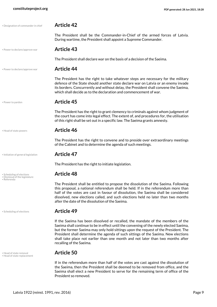### • Designation of commander in chief **Article 42**

<span id="page-8-0"></span>The President shall be the Commander-in-Chief of the armed forces of Latvia. During wartime, the President shall appoint a Supreme Commander.

### • Power to declare/approve war **Article 43**

The President shall declare war on the basis of a decision of the Saeima.

### • Power to declare/approve war **Article 44**

<span id="page-8-6"></span>The President has the right to take whatever steps are necessary for the military defence of the State should another state declare war on Latvia or an enemy invade its borders. Concurrently and without delay, the President shall convene the Saeima, which shall decide as to the declaration and commencement of war.

### <span id="page-8-7"></span>• Power to pardon **Article 45**

The President has the right to grant clemency to criminals against whom judgment of the court has come into legal effect. The extent of, and procedures for, the utilisation of this right shall be set out in a specific law. The Saeima grants amnesty.

# <span id="page-8-2"></span>• Head of state powers **Article 46**

The President has the right to convene and to preside over extraordinary meetings of the Cabinet and to determine the agenda of such meetings.

### • Initiation of general legislation **Article 47**

<span id="page-8-5"></span>The President has the right to initiate legislation.

# • Scheduling of elections **Article 48** • Dismissal of the legislature

<span id="page-8-1"></span>The President shall be entitled to propose the dissolution of the Saeima. Following this proposal, a national referendum shall be held. If in the referendum more than half of the votes are cast in favour of dissolution, the Saeima shall be considered dissolved, new elections called, and such elections held no later than two months after the date of the dissolution of the Saeima.

# • Scheduling of elections **Article 49**

If the Saeima has been dissolved or recalled, the mandate of the members of the Saeima shall continue to be in effect until the convening of the newly elected Saeima, but the former Saeima may only hold sittings upon the request of the President. The President shall determine the agenda of such sittings of the Saeima. New elections shall take place not earlier than one month and not later than two months after recalling of the Saeima.

<span id="page-8-4"></span>If in the referendum more than half of the votes are cast against the dissolution of the Saeima, then the President shall be deemed to be removed from office, and the Saeima shall elect a new President to serve for the remaining term of office of the President so removed.

<span id="page-8-8"></span>

• Referenda

<span id="page-8-9"></span>

<span id="page-8-3"></span>• Head of state removal **Article 50** • Head of state replacement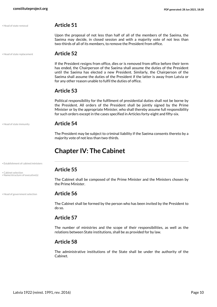# <span id="page-9-5"></span>• Head of state removal **Article 51**

Upon the proposal of not less than half of all of the members of the Saeima, the Saeima may decide, in closed session and with a majority vote of not less than two-thirds of all of its members, to remove the President from office.

• Head of state replacement **Article 52**

<span id="page-9-6"></span>If the President resigns from office, dies or is removed from office before their term has ended, the Chairperson of the Saeima shall assume the duties of the President until the Saeima has elected a new President. Similarly, the Chairperson of the Saeima shall assume the duties of the President if the latter is away from Latvia or for any other reason unable to fulfil the duties of office.

# **Article 53**

Political responsibility for the fulfilment of presidential duties shall not be borne by the President. All orders of the President shall be jointly signed by the Prime Minister or by the appropriate Minister, who shall thereby assume full responsibility for such orders except in the cases specified in Articles forty-eight and fifty-six.

<span id="page-9-4"></span>

• Establishment of cabinet/ministers

<span id="page-9-1"></span>• Name/structure of executive(s)

# • Head of state immunity **Article 54**

The President may be subject to criminal liability if the Saeima consents thereto by a majority vote of not less than two-thirds.

# <span id="page-9-2"></span><span id="page-9-0"></span>**Chapter IV: The Cabinet**

# **Article 55** • Cabinet selection

<span id="page-9-7"></span>The Cabinet shall be composed of the Prime Minister and the Ministers chosen by the Prime Minister.

# • Head of government selection **Article 56**

<span id="page-9-3"></span>The Cabinet shall be formed by the person who has been invited by the President to do so.

# **Article 57**

The number of ministries and the scope of their responsibilities, as well as the relations between State institutions, shall be as provided for by law.

# **Article 58**

The administrative institutions of the State shall be under the authority of the Cabinet.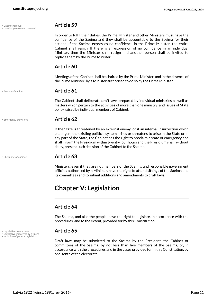<span id="page-10-1"></span>• Cabinet removal **Article 59** • Head of government removal

<span id="page-10-4"></span>In order to fulfil their duties, the Prime Minister and other Ministers must have the confidence of the Saeima and they shall be accountable to the Saeima for their actions. If the Saeima expresses no confidence in the Prime Minister, the entire Cabinet shall resign. If there is an expression of no confidence in an individual Minister, then the Minister shall resign and another person shall be invited to replace them by the Prime Minister.

# **Article 60**

Meetings of the Cabinet shall be chaired by the Prime Minister, and in the absence of the Prime Minister, by a Minister authorised to do so by the Prime Minister.

### <span id="page-10-8"></span>• Powers of cabinet **Article 61**

The Cabinet shall deliberate draft laws prepared by individual ministries as well as matters which pertain to the activities of more than one ministry, and issues of State policy raised by individual members of Cabinet.

### • Emergency provisions **Article 62**

If the State is threatened by an external enemy, or if an internal insurrection which endangers the existing political system arises or threatens to arise in the State or in any part of the State, the Cabinet has the right to proclaim a state of emergency and shall inform the Presidium within twenty-four hours and the Presidium shall, without delay, present such decision of the Cabinet to the Saeima.

# • Eligibility for cabinet **Article 63**

Ministers, even if they are not members of the Saeima, and responsible government officials authorised by a Minister, have the right to attend sittings of the Saeima and its committees and to submit additions and amendments to draft laws.

# <span id="page-10-0"></span>**Chapter V: Legislation**

# **Article 64**

The Saeima, and also the people, have the right to legislate, in accordance with the procedures, and to the extent, provided for by this Constitution.

<span id="page-10-7"></span><span id="page-10-5"></span>Draft laws may be submitted to the Saeima by the President, the Cabinet or committees of the Saeima, by not less than five members of the Saeima, or, in accordance with the procedures and in the cases provided for in this Constitution, by one-tenth of the electorate.

<span id="page-10-3"></span>

<span id="page-10-2"></span>

• Legislative committees **Article 65** • Legislative initiatives by citizens • Initiation of general legislation

<span id="page-10-6"></span>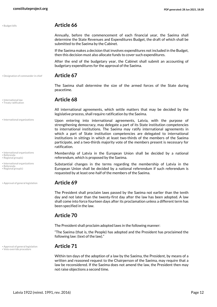<span id="page-11-1"></span>

| · Budget bills |  |  |  |
|----------------|--|--|--|
|                |  |  |  |
|                |  |  |  |
|                |  |  |  |
|                |  |  |  |
|                |  |  |  |
|                |  |  |  |

# • Budget bills **Article 66**

Annually, before the commencement of each financial year, the Saeima shall determine the State Revenues and Expenditures Budget, the draft of which shall be submitted to the Saeima by the Cabinet.

If the Saeima makes a decision that involves expenditures not included in the Budget, then this decision must also allocate funds to cover such expenditures.

After the end of the budgetary year, the Cabinet shall submit an accounting of budgetary expenditures for the approval of the Saeima.

• Designation of commander in chief **Article 67**

<span id="page-11-2"></span>The Saeima shall determine the size of the armed forces of the State during peacetime.

# <span id="page-11-7"></span><span id="page-11-3"></span>• International law **Article 68** • Treaty ratification

All international agreements, which settle matters that may be decided by the legislative process, shall require ratification by the Saeima.

- Upon entering into international agreements, Latvia, with the purpose of strengthening democracy, may delegate a part of its State institution competencies to international institutions. The Saeima may ratify international agreements in which a part of State institution competencies are delegated to international institutions in sittings in which at least two-thirds of the members of the Saeima participate, and a two-thirds majority vote of the members present is necessary for ratification.
	- Membership of Latvia in the European Union shall be decided by a national referendum, which is proposed by the Saeima.

<span id="page-11-4"></span>Substantial changes in the terms regarding the membership of Latvia in the European Union shall be decided by a national referendum if such referendum is requested by at least one-half of the members of the Saeima.

The President shall proclaim laws passed by the Saeima not earlier than the tenth day and not later than the twenty-first day after the law has been adopted. A law shall come into force fourteen days after its proclamation unless a different term has been specified in the law.

# **Article 70**

The President shall proclaim adopted laws in the following manner:

"The Saeima (that is, the People) has adopted and the President has proclaimed the following law: (text of the law)."

# • Approval of general legislation **Article 71** • Veto override procedure

<span id="page-11-8"></span><span id="page-11-0"></span>Within ten days of the adoption of a law by the Saeima, the President, by means of a written and reasoned request to the Chairperson of the Saeima, may require that a law be reconsidered. If the Saeima does not amend the law, the President then may not raise objections a second time.

• International organizations

• International organizations

• Referenda • Regional group(s)

• International organizations

<span id="page-11-6"></span><span id="page-11-5"></span>• Referenda • Regional group(s)

• Approval of general legislation **Article 69**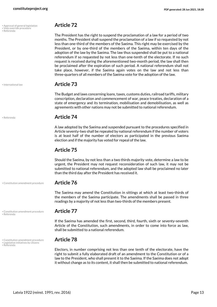| • Approval of general legislation | <b>Article 72</b> |
|-----------------------------------|-------------------|
| · Veto override procedure         |                   |

• Referenda

<span id="page-12-5"></span><span id="page-12-0"></span>The President has the right to suspend the proclamation of a law for a period of two months. The President shall suspend the proclamation of a law if so requested by not less than one-third of the members of the Saeima. This right may be exercised by the President, or by one-third of the members of the Saeima, within ten days of the adoption of the law by the Saeima. The law thus suspended shall be put to a national referendum if so requested by not less than one-tenth of the electorate. If no such request is received during the aforementioned two-month period, the law shall then be proclaimed after the expiration of such period. A national referendum shall not take place, however, if the Saeima again votes on the law and not less than three-quarters of all members of the Saeima vote for the adoption of the law.

# <span id="page-12-2"></span>• International law **Article 73**

The Budget and laws concerning loans, taxes, customs duties, railroad tariffs, military conscription, declaration and commencement of war, peace treaties, declaration of a state of emergency and its termination, mobilisation and demobilisation, as well as agreements with other nations may not be submitted to national referendum.

# • Referenda **Article 74**

A law adopted by the Saeima and suspended pursuant to the procedures specified in Article seventy-two shall be repealed by national referendum if the number of voters is at least half of the number of electors as participated in the previous Saeima election and if the majority has voted for repeal of the law.

# **Article 75**

Should the Saeima, by not less than a two thirds majority vote, determine a law to be urgent, the President may not request reconsideration of such law, it may not be submitted to national referendum, and the adopted law shall be proclaimed no later than the third day after the President has received it.

# • Constitution amendment procedure **Article 76**

The Saeima may amend the Constitution in sittings at which at least two-thirds of the members of the Saeima participate. The amendments shall be passed in three readings by a majority of not less than two-thirds of the members present.

If the Saeima has amended the first, second, third, fourth, sixth or seventy-seventh Article of the Constitution, such amendments, in order to come into force as law, shall be submitted to a national referendum.

<span id="page-12-3"></span><span id="page-12-1"></span>Electors, in number comprising not less than one tenth of the electorate, have the right to submit a fully elaborated draft of an amendment to the Constitution or of a law to the President, who shall present it to the Saeima. If the Saeima does not adopt it without change as to its content, it shall then be submitted to national referendum.

• Constitution amendment procedure **Article 77** • Referenda

<span id="page-12-4"></span>• Constitution amendment procedure **Article 78** • Legislative initiatives by citizens • Referenda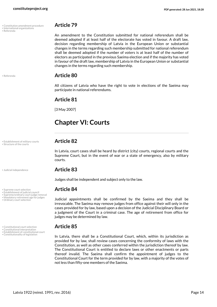- Constitution amendment procedure **Article 79** International organizations
- Referenda

<span id="page-13-8"></span><span id="page-13-1"></span>An amendment to the Constitution submitted for national referendum shall be deemed adopted if at least half of the electorate has voted in favour. A draft law, decision regarding membership of Latvia in the European Union or substantial changes in the terms regarding such membership submitted for national referendum shall be deemed adopted if the number of voters is at least half of the number of electors as participated in the previous Saeima election and if the majority has voted in favour of the draft law, membership of Latvia in the European Union or substantial changes in the terms regarding such membership.

# <span id="page-13-12"></span>• Referenda **Article 80**

All citizens of Latvia who have the right to vote in elections of the Saeima may participate in national referendums.

# **Article 81**

[3 May 2007]

# <span id="page-13-0"></span>**Chapter VI: Courts**

<span id="page-13-13"></span><span id="page-13-7"></span>In Latvia, court cases shall be heard by district (city) courts, regional courts and the Supreme Court, but in the event of war or a state of emergency, also by military courts.

# <span id="page-13-9"></span>• Judicial independence **Article 83**

Judges shall be independent and subject only to the law.

# • Supreme court selection **Article 84** • Establishment of judicial council

<span id="page-13-15"></span><span id="page-13-14"></span><span id="page-13-11"></span><span id="page-13-10"></span><span id="page-13-6"></span><span id="page-13-5"></span><span id="page-13-2"></span>Judicial appointments shall be confirmed by the Saeima and they shall be irrevocable. The Saeima may remove judges from office against their will only in the cases provided for by law, based upon a decision of the Judicial Disciplinary Board or a judgment of the Court in a criminal case. The age of retirement from office for judges may be determined by law.

• Constitutionality of legislation In Latvia, there shall be a Constitutional Court, which, within its jurisdiction as provided for by law, shall review cases concerning the conformity of laws with the Constitution, as well as other cases conferred within the jurisdiction thereof by law. The Constitutional Court is entitled to declare laws or other enactments or parts thereof invalid. The Saeima shall confirm the appointment of judges to the Constitutional Court for the term provided for by law, with a majority of the votes of not less than fifty-one members of the Saeima.

• Establishment of military courts **Article 82** • Structure of the courts

- <span id="page-13-4"></span><span id="page-13-3"></span>
- Constitutional court selection **Article 85** Constitutional interpretation Establishment of constitutional court

• Supreme/ordinary court judge removal • Mandatory retirement age for judges<br>• Ordinary court selection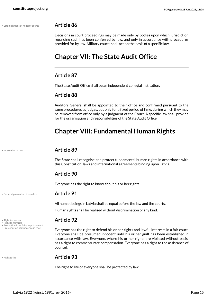• Establishment of military courts **Article 86**

<span id="page-14-2"></span>Decisions in court proceedings may be made only by bodies upon which jurisdiction regarding such has been conferred by law, and only in accordance with procedures provided for by law. Military courts shall act on the basis of a specific law.

# <span id="page-14-0"></span>**Chapter VII: The State Audit Office**

# **Article 87**

The State Audit Office shall be an independent collegial institution.

# **Article 88**

Auditors General shall be appointed to their office and confirmed pursuant to the same procedures as judges, but only for a fixed period of time, during which they may be removed from office only by a judgment of the Court. A specific law shall provide for the organisation and responsibilities of the State Audit Office.

# <span id="page-14-1"></span>**Chapter VIII: Fundamental Human Rights**

### <span id="page-14-4"></span>• International law **Article 89**

The State shall recognise and protect fundamental human rights in accordance with this Constitution, laws and international agreements binding upon Latvia.

# **Article 90**

Everyone has the right to know about his or her rights.

### • General guarantee of equality **Article 91**

<span id="page-14-3"></span>All human beings in Latvia shall be equal before the law and the courts.

<span id="page-14-6"></span><span id="page-14-5"></span>Human rights shall be realised without discrimination of any kind.

# <span id="page-14-8"></span><span id="page-14-7"></span>• Right to counsel<br>• Right to fair trial<br>• Protection from false imprisonment

• Presumption of innocence in trials **Everyone has the right to defend his or her rights and lawful interests in a fair court.** Everyone shall be presumed innocent until his or her guilt has been established in accordance with law. Everyone, where his or her rights are violated without basis, has a right to commensurate compensation. Everyone has a right to the assistance of counsel.

<span id="page-14-9"></span>

# • Right to life **Article 93**

The right to life of everyone shall be protected by law.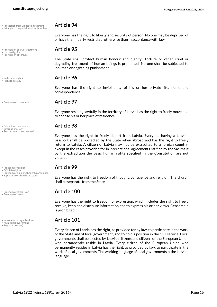• Protection from unjustified restraint **Article 94** • Principle of no punishment without law

• Prohibition of cruel treatment **Article 95** • Human dignity

- <span id="page-15-14"></span><span id="page-15-6"></span>• Prohibition of torture
- <span id="page-15-18"></span><span id="page-15-7"></span>

<span id="page-15-2"></span>

- <span id="page-15-8"></span><span id="page-15-0"></span>
- Restrictions on entry or exit

- <span id="page-15-11"></span><span id="page-15-5"></span>
- Freedom of religion **Article 99** Official religion Freedom of opinion/thought/conscience
- 

<span id="page-15-4"></span>• Freedom of expression **Article 100** • Freedom of press

<span id="page-15-10"></span>

<span id="page-15-16"></span>• Regional group(s)

<span id="page-15-15"></span><span id="page-15-12"></span>Everyone has the right to liberty and security of person. No one may be deprived of or have their liberty restricted, otherwise than in accordance with law.

<span id="page-15-13"></span>The State shall protect human honour and dignity. Torture or other cruel or degrading treatment of human beings is prohibited. No one shall be subjected to inhuman or degrading punishment.

# • Inalienable rights **Article 96** • Right to privacy

Everyone has the right to inviolability of his or her private life, home and correspondence.

# • Freedom of movement **Article 97**

Everyone residing lawfully in the territory of Latvia has the right to freely move and to choose his or her place of residence.

# • Extradition procedure **Article 98** • International law

<span id="page-15-17"></span>Everyone has the right to freely depart from Latvia. Everyone having a Latvian passport shall be protected by the State when abroad and has the right to freely return to Latvia. A citizen of Latvia may not be extradited to a foreign country, except in the cases provided for in international agreements ratified by the Saeima if by the extradition the basic human rights specified in the Constitution are not violated.

• Separation of church and state Everyone has the right to freedom of thought, conscience and religion. The church shall be separate from the State.

<span id="page-15-19"></span><span id="page-15-3"></span><span id="page-15-1"></span>Everyone has the right to freedom of expression, which includes the right to freely receive, keep and distribute information and to express his or her views. Censorship is prohibited.

# • International organizations **Article 101** • Municipal government

<span id="page-15-9"></span>Every citizen of Latvia has the right, as provided for by law, to participate in the work of the State and of local government, and to hold a position in the civil service. Local governments shall be elected by Latvian citizens and citizens of the European Union who permanently reside in Latvia. Every citizen of the European Union who permanently resides in Latvia has the right, as provided by law, to participate in the work of local governments. The working language of local governments is the Latvian language.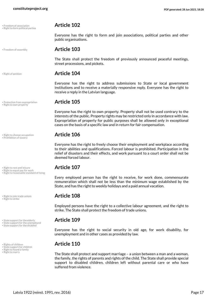• Freedom of association **Article 102** • Right to form political parties

<span id="page-16-0"></span>

<span id="page-16-4"></span>

<span id="page-16-11"></span>• Protection from expropriation **Article 105** • Right to own property

<span id="page-16-2"></span>• Right to choose occupation **Article 106** • Prohibition of slavery

• Right to rest and leisure<br>• Right to equal pay for work<br>• Right to reasonable standard of living

<span id="page-16-14"></span>• Right to join trade unions **Article 108** • Right to strike

• State support for the elderly **Article 109** • State support for the unemployed

• State support for the disabled

<span id="page-16-15"></span><span id="page-16-8"></span>

• Right to found a family<br>• Right to marry

<span id="page-16-10"></span>

public organisations.

• Freedom of assembly **Article 103**

The State shall protect the freedom of previously announced peaceful meetings, street processions, and pickets.

<span id="page-16-7"></span><span id="page-16-1"></span>Everyone has the right to form and join associations, political parties and other

# • Right of petition **Article 104**

Everyone has the right to address submissions to State or local government institutions and to receive a materially responsive reply. Everyone has the right to receive a reply in the Latvian language.

<span id="page-16-3"></span>Everyone has the right to own property. Property shall not be used contrary to the interests of the public. Property rights may be restricted only in accordance with law. Expropriation of property for public purposes shall be allowed only in exceptional cases on the basis of a specific law and in return for fair compensation.

<span id="page-16-5"></span>Everyone has the right to freely choose their employment and workplace according to their abilities and qualifications. Forced labour is prohibited. Participation in the relief of disasters and their effects, and work pursuant to a court order shall not be deemed forced labour.

<span id="page-16-13"></span><span id="page-16-12"></span><span id="page-16-6"></span>Every employed person has the right to receive, for work done, commensurate remuneration which shall not be less than the minimum wage established by the State, and has the right to weekly holidays and a paid annual vacation.

<span id="page-16-9"></span>Employed persons have the right to a collective labour agreement, and the right to strike. The State shall protect the freedom of trade unions.

<span id="page-16-19"></span><span id="page-16-18"></span><span id="page-16-17"></span>Everyone has the right to social security in old age, for work disability, for unemployment and in other cases as provided by law.

# • Rights of children **Article 110** • State support for children

<span id="page-16-16"></span>The State shall protect and support marriage – a union between a man and a woman, the family, the rights of parents and rights of the child. The State shall provide special support to disabled children, children left without parental care or who have suffered from violence.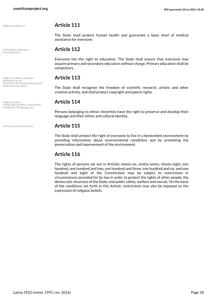<span id="page-17-1"></span><span id="page-17-0"></span>

- <span id="page-17-6"></span>
- <span id="page-17-7"></span>
- Reference to art<br>• Provisions for intellectual property<br>• Reference to science
- <span id="page-17-9"></span>• Right to culture **Article 114** • Integration of ethnic communities • Protection of language use

# <span id="page-17-10"></span>• Right to health care **Article 111**

The State shall protect human health and guarantee a basic level of medical assistance for everyone.

# • Compulsory education **Article 112** • Free education

Everyone has the right to education. The State shall ensure that everyone may acquire primary and secondary education without charge. Primary education shall be compulsory.

# • Right to academic freedom **Article 113** • Reference to art

<span id="page-17-8"></span><span id="page-17-5"></span>The State shall recognise the freedom of scientific research, artistic and other creative activity, and shall protect copyright and patent rights.

<span id="page-17-4"></span><span id="page-17-2"></span>Persons belonging to ethnic minorities have the right to preserve and develop their language and their ethnic and cultural identity.

### • Protection of environment **Article 115**

<span id="page-17-3"></span>The State shall protect the right of everyone to live in a benevolent environment by providing information about environmental conditions and by promoting the preservation and improvement of the environment.

# **Article 116**

The rights of persons set out in Articles ninety-six, ninety-seven, ninety-eight, one hundred, one hundred and two, one hundred and three, one hundred and six, and one hundred and eight of the Constitution may be subject to restrictions in circumstances provided for by law in order to protect the rights of other people, the democratic structure of the State, and public safety, welfare and morals. On the basis of the conditions set forth in this Article, restrictions may also be imposed on the expression of religious beliefs.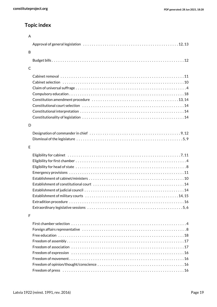# **Topic index**

| $\overline{A}$ |                                                                                                                |
|----------------|----------------------------------------------------------------------------------------------------------------|
|                |                                                                                                                |
| B              |                                                                                                                |
|                |                                                                                                                |
| C              |                                                                                                                |
|                |                                                                                                                |
|                |                                                                                                                |
|                |                                                                                                                |
|                |                                                                                                                |
|                |                                                                                                                |
|                | Constitutional court selection (etc.), etc.), etc., etc., etc., etc., etc., etc., etc., etc., etc., etc., etc. |
|                |                                                                                                                |
|                |                                                                                                                |
| D              |                                                                                                                |
|                |                                                                                                                |
|                |                                                                                                                |
| F              |                                                                                                                |
|                |                                                                                                                |
|                |                                                                                                                |
|                |                                                                                                                |
|                |                                                                                                                |
|                |                                                                                                                |
|                |                                                                                                                |
|                | Establishment of constitutional court (interactional content of the content of the content of the state of the |
|                |                                                                                                                |
|                |                                                                                                                |
|                |                                                                                                                |
|                |                                                                                                                |
| F              |                                                                                                                |
|                |                                                                                                                |
|                |                                                                                                                |
|                |                                                                                                                |
|                |                                                                                                                |
|                |                                                                                                                |
|                |                                                                                                                |
|                |                                                                                                                |
|                |                                                                                                                |
|                |                                                                                                                |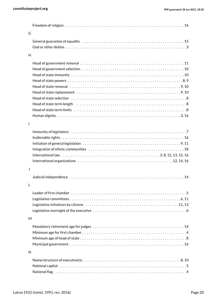|              | Freedom of religion $\dots\dots\dots\dots\dots\dots\dots\dots\dots\dots\dots\dots\dots\dots\dots\dots\dots\dots$     |
|--------------|----------------------------------------------------------------------------------------------------------------------|
| G            |                                                                                                                      |
|              |                                                                                                                      |
|              |                                                                                                                      |
| H            |                                                                                                                      |
|              |                                                                                                                      |
|              |                                                                                                                      |
|              |                                                                                                                      |
|              |                                                                                                                      |
|              |                                                                                                                      |
|              | Head of state replacement $\dots\dots\dots\dots\dots\dots\dots\dots\dots\dots\dots\dots\dots\dots\dots$              |
|              |                                                                                                                      |
|              |                                                                                                                      |
|              |                                                                                                                      |
|              |                                                                                                                      |
| $\mathbf{I}$ |                                                                                                                      |
|              |                                                                                                                      |
|              |                                                                                                                      |
|              |                                                                                                                      |
|              |                                                                                                                      |
|              |                                                                                                                      |
|              |                                                                                                                      |
| J            |                                                                                                                      |
|              |                                                                                                                      |
| L            |                                                                                                                      |
|              |                                                                                                                      |
|              |                                                                                                                      |
|              |                                                                                                                      |
|              |                                                                                                                      |
| M            |                                                                                                                      |
|              |                                                                                                                      |
|              |                                                                                                                      |
|              |                                                                                                                      |
|              |                                                                                                                      |
| N            |                                                                                                                      |
|              |                                                                                                                      |
|              | Name/structure of executive(s) $\dots\dots\dots\dots\dots\dots\dots\dots\dots\dots\dots\dots\dots\dots\dots$ . 8, 10 |
|              |                                                                                                                      |
|              |                                                                                                                      |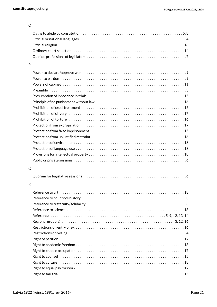### O

### P

| Prohibition of slavery $\dots\dots\dots\dots\dots\dots\dots\dots\dots\dots\dots\dots\dots\dots\dots\dots$ |
|-----------------------------------------------------------------------------------------------------------|
|                                                                                                           |
|                                                                                                           |
|                                                                                                           |
|                                                                                                           |
|                                                                                                           |
|                                                                                                           |
|                                                                                                           |
|                                                                                                           |
|                                                                                                           |

# Q

|--|--|--|

### R

| Regional group(s) $\dots\dots\dots\dots\dots\dots\dots\dots\dots\dots\dots\dots\dots\dots\dots\dots\dots$ |  |
|-----------------------------------------------------------------------------------------------------------|--|
|                                                                                                           |  |
|                                                                                                           |  |
|                                                                                                           |  |
|                                                                                                           |  |
|                                                                                                           |  |
|                                                                                                           |  |
|                                                                                                           |  |
|                                                                                                           |  |
|                                                                                                           |  |